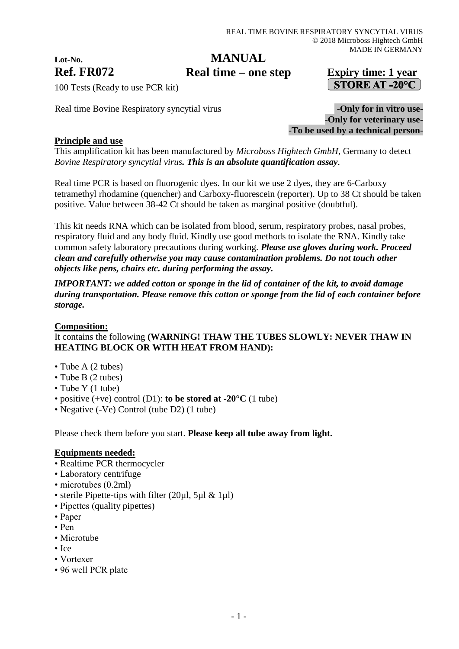# **Lot-No.**

# **MANUAL**

**Ref. FR072 Expiry time: 1 year Real time – one step**

# $\sim$  STORE AT -20 $^{\circ}$ C

100 Tests (Ready to use PCR kit)

Real time Bovine Respiratory syncytial virus **-Only for in vitro use-**

-**Only for veterinary use- -To be used by a technical person-**

# **Principle and use**

This amplification kit has been manufactured by *Microboss Hightech GmbH*, Germany to detect *Bovine Respiratory syncytial virus. This is an absolute quantification assay*.

Real time PCR is based on fluorogenic dyes. In our kit we use 2 dyes, they are 6-Carboxy tetramethyl rhodamine (quencher) and Carboxy-fluorescein (reporter). Up to 38 Ct should be taken positive. Value between 38-42 Ct should be taken as marginal positive (doubtful).

This kit needs RNA which can be isolated from blood, serum, respiratory probes, nasal probes, respiratory fluid and any body fluid. Kindly use good methods to isolate the RNA. Kindly take common safety laboratory precautions during working. *Please use gloves during work. Proceed clean and carefully otherwise you may cause contamination problems. Do not touch other objects like pens, chairs etc. during performing the assay.*

*IMPORTANT: we added cotton or sponge in the lid of container of the kit, to avoid damage during transportation. Please remove this cotton or sponge from the lid of each container before storage.*

#### **Composition:**

# It contains the following **(WARNING! THAW THE TUBES SLOWLY: NEVER THAW IN HEATING BLOCK OR WITH HEAT FROM HAND):**

- Tube A (2 tubes)
- Tube B (2 tubes)
- Tube Y (1 tube)
- positive (+ve) control (D1): **to be stored at -20°C** (1 tube)
- Negative (-Ve) Control (tube D2) (1 tube)

Please check them before you start. **Please keep all tube away from light.**

#### **Equipments needed:**

- Realtime PCR thermocycler
- Laboratory centrifuge
- microtubes (0.2ml)
- sterile Pipette-tips with filter (20ul, 5ul & 1ul)
- Pipettes (quality pipettes)
- Paper
- Pen
- Microtube
- Ice
- Vortexer
- 96 well PCR plate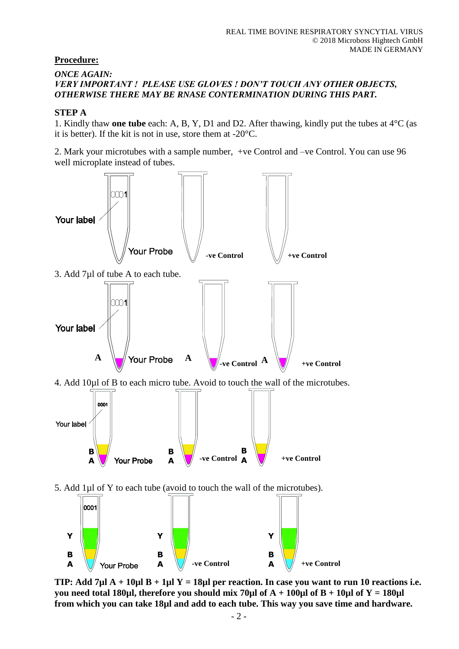### **Procedure:**

#### *ONCE AGAIN: VERY IMPORTANT ! PLEASE USE GLOVES ! DON'T TOUCH ANY OTHER OBJECTS, OTHERWISE THERE MAY BE RNASE CONTERMINATION DURING THIS PART.*

#### **STEP A**

1. Kindly thaw **one tube** each: A, B, Y, D1 and D2. After thawing, kindly put the tubes at 4°C (as it is better). If the kit is not in use, store them at -20°C.

2. Mark your microtubes with a sample number, +ve Control and –ve Control. You can use 96 well microplate instead of tubes.



**TIP: Add 7µl A + 10µl B + 1µl Y = 18µl per reaction. In case you want to run 10 reactions i.e. you need total 180µl, therefore you should mix 70µl of A + 100µl of B + 10µl of Y = 180µl from which you can take 18µl and add to each tube. This way you save time and hardware.**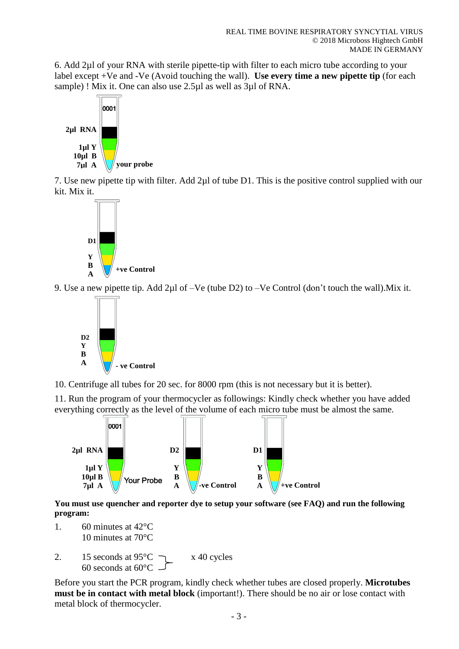6. Add 2µl of your RNA with sterile pipette-tip with filter to each micro tube according to your label except +Ve and -Ve (Avoid touching the wall). **Use every time a new pipette tip** (for each sample) ! Mix it. One can also use 2.5µl as well as 3µl of RNA.



7. Use new pipette tip with filter. Add 2µl of tube D1. This is the positive control supplied with our kit. Mix it.



9. Use a new pipette tip. Add 2µl of –Ve (tube D2) to –Ve Control (don't touch the wall).Mix it.



10. Centrifuge all tubes for 20 sec. for 8000 rpm (this is not necessary but it is better).

11. Run the program of your thermocycler as followings: Kindly check whether you have added everything correctly as the level of the volume of each micro tube must be almost the same.



**You must use quencher and reporter dye to setup your software (see FAQ) and run the following program:**

- 1. 60 minutes at 42°C 10 minutes at 70°C
- 2. 15 seconds at  $95^{\circ}$ C  $\rightarrow x$  40 cycles 60 seconds at 60°C

Before you start the PCR program, kindly check whether tubes are closed properly. **Microtubes must be in contact with metal block** (important!). There should be no air or lose contact with metal block of thermocycler.